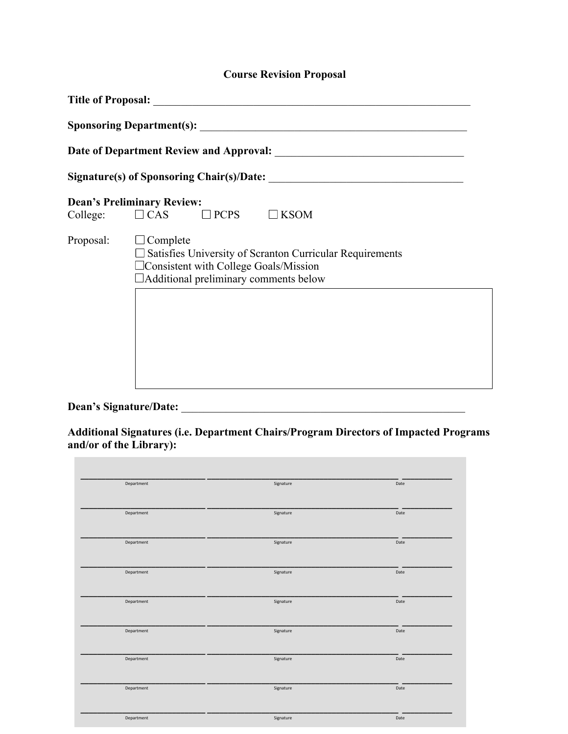# **Course Revision Proposal**

| College:  | <b>Dean's Preliminary Review:</b><br>$\Box$ CAS $\Box$ PCPS<br>$\Box$ KSOM                                                                                                    |  |  |  |
|-----------|-------------------------------------------------------------------------------------------------------------------------------------------------------------------------------|--|--|--|
| Proposal: | $\Box$ Complete<br>$\Box$ Satisfies University of Scranton Curricular Requirements<br>□ Consistent with College Goals/Mission<br>$\Box$ Additional preliminary comments below |  |  |  |
|           |                                                                                                                                                                               |  |  |  |

**Dean's Signature/Date:** \_\_\_\_\_\_\_\_\_\_\_\_\_\_\_\_\_\_\_\_\_\_\_\_\_\_\_\_\_\_\_\_\_\_\_\_\_\_\_\_\_\_\_\_\_\_\_\_\_\_\_

**Additional Signatures (i.e. Department Chairs/Program Directors of Impacted Programs and/or of the Library):** 

| Department | Signature | Date |
|------------|-----------|------|
|            |           |      |
| Department | Signature | Date |
|            |           |      |
| Department | Signature | Date |
|            |           |      |
| Department | Signature | Date |
|            |           |      |
| Department | Signature | Date |
| Department | Signature | Date |
|            |           |      |
| Department | Signature | Date |
|            |           |      |
| Department | Signature | Date |
|            |           |      |
| Department | Signature | Date |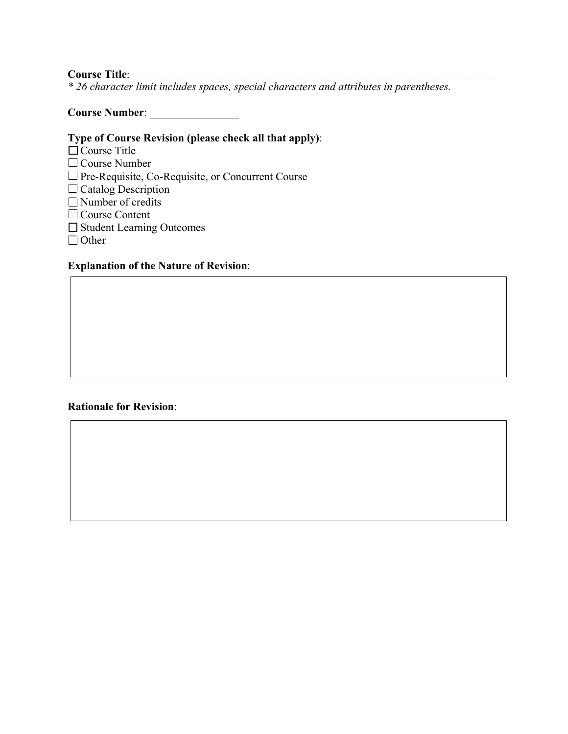#### Course Title:

*\* 26 character limit includes spaces, special characters and attributes in parentheses.* 

## **Course Number**: \_\_\_\_\_\_\_\_\_\_\_\_\_\_\_\_

# **Type of Course Revision (please check all that apply)**:

- $\Box$  Course Title
- $\square$  Course Number
- □ Pre-Requisite, Co-Requisite, or Concurrent Course
- $\Box$  Catalog Description
- $\Box$  Number of credits
- $\Box$  Course Content
- □ Student Learning Outcomes
- □ Other

### **Explanation of the Nature of Revision**:

#### **Rationale for Revision**: